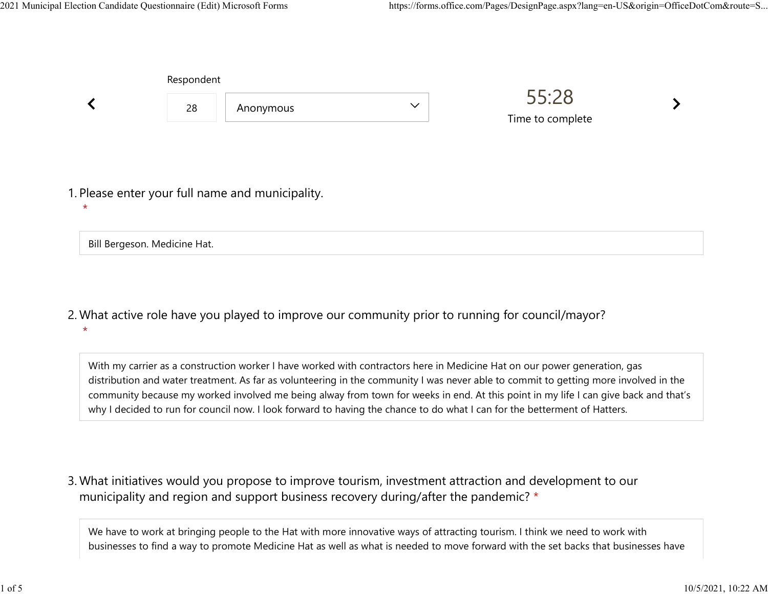Bill Bergeson. Medicine Hat.

|         | Respondent |                                                  |              |                           |  |
|---------|------------|--------------------------------------------------|--------------|---------------------------|--|
|         | 28         | Anonymous                                        | $\checkmark$ | 55:28<br>Time to complete |  |
| $\star$ |            | 1. Please enter your full name and municipality. |              |                           |  |
|         |            |                                                  |              |                           |  |

What active role have you played to improve our community prior to running for council/mayor? 2.  $\star$ 

With my carrier as a construction worker I have worked with contractors here in Medicine Hat on our power generation, gas distribution and water treatment. As far as volunteering in the community I was never able to commit to getting more involved in the community because my worked involved me being alway from town for weeks in end. At this point in my life I can give back and that's why I decided to run for council now. I look forward to having the chance to do what I can for the betterment of Hatters.

What initiatives would you propose to improve tourism, investment attraction and development to our 3. municipality and region and support business recovery during/after the pandemic? \*

We have to work at bringing people to the Hat with more innovative ways of attracting tourism. I think we need to work with businesses to find a way to promote Medicine Hat as well as what is needed to move forward with the set backs that businesses have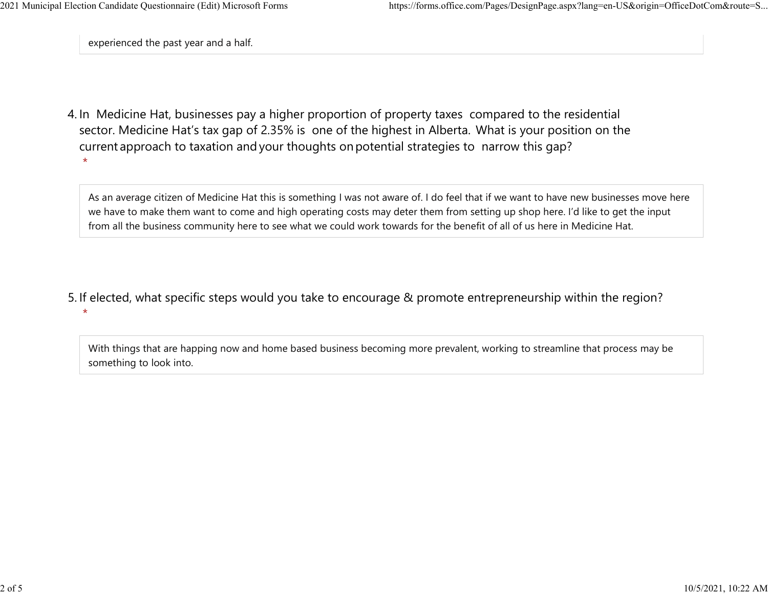$\star$ 

experienced the past year and a half.

4. In Medicine Hat, businesses pay a higher proportion of property taxes compared to the residential sector.  Medicine Hat's tax gap of 2.35% is one of the highest in Alberta.  What is your position on the current approach to taxation and your thoughts on potential strategies to narrow this gap?  $\star$ 

As an average citizen of Medicine Hat this is something I was not aware of. I do feel that if we want to have new businesses move here we have to make them want to come and high operating costs may deter them from setting up shop here. I'd like to get the input from all the business community here to see what we could work towards for the benefit of all of us here in Medicine Hat.

5. If elected, what specific steps would you take to encourage & promote entrepreneurship within the region?

With things that are happing now and home based business becoming more prevalent, working to streamline that process may be something to look into.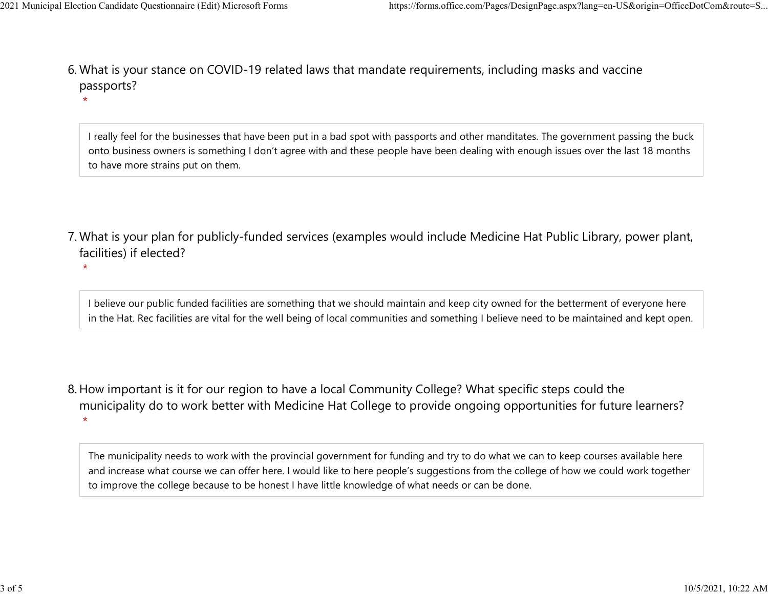$\star$ 

 $\star$ 

What is your stance on COVID-19 related laws that mandate requirements, including masks and vaccine 6. passports? 2021 Municipal Election Candidate Questionnaire (Edit) Microsoft Forms https://forms.office.com/Pages/DesignPage.aspx?lang=en-US&origin=OfficeDotCom&route=S...<br>6 Mhat is vour stance on COVID-19 related laws that mandate re

> I really feel for the businesses that have been put in a bad spot with passports and other manditates. The government passing the buck onto business owners is something I don't agree with and these people have been dealing with enough issues over the last 18 months to have more strains put on them.

- What is your plan for publicly-funded services (examples would include Medicine Hat Public Library, power plant, 7. facilities) if elected?
	- I believe our public funded facilities are something that we should maintain and keep city owned for the betterment of everyone here in the Hat. Rec facilities are vital for the well being of local communities and something I believe need to be maintained and kept open.
- 8. How important is it for our region to have a local Community College? What specific steps could the municipality do to work better with Medicine Hat College to provide ongoing opportunities for future learners?  $\star$

The municipality needs to work with the provincial government for funding and try to do what we can to keep courses available here and increase what course we can offer here. I would like to here people's suggestions from the college of how we could work together to improve the college because to be honest I have little knowledge of what needs or can be done.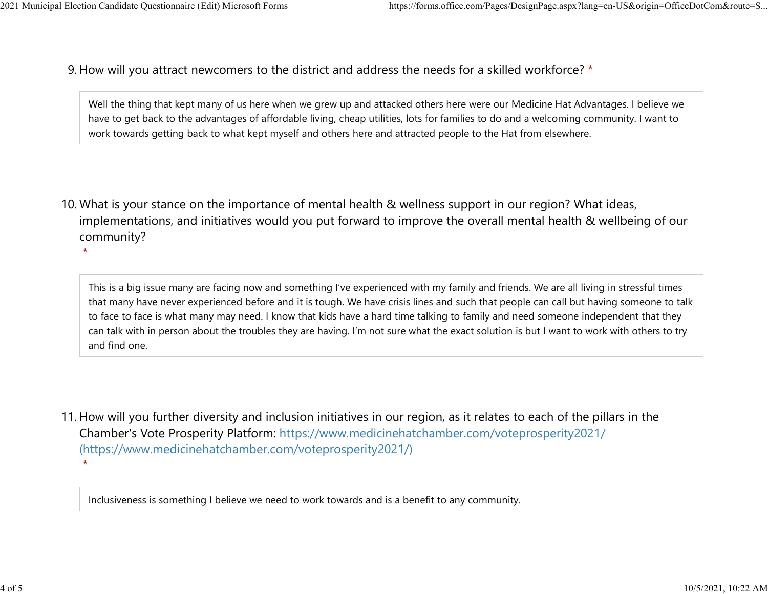9. How will you attract newcomers to the district and address the needs for a skilled workforce? \* 2021 Municipal Election Candidate Questionnaire (Edit) Microsoft Forms https://forms.office.com/Pages/DesignPage.aspx?lang=en-US&origin=OfficeDotCom&route=S...<br>Q How will you attract newcomers to the district and address t

> Well the thing that kept many of us here when we grew up and attacked others here were our Medicine Hat Advantages. I believe we have to get back to the advantages of affordable living, cheap utilities, lots for families to do and a welcoming community. I want to work towards getting back to what kept myself and others here and attracted people to the Hat from elsewhere.

10. What is your stance on the importance of mental health & wellness support in our region? What ideas, implementations, and initiatives would you put forward to improve the overall mental health & wellbeing of our community?

 $\star$ 

This is a big issue many are facing now and something I've experienced with my family and friends. We are all living in stressful times that many have never experienced before and it is tough. We have crisis lines and such that people can call but having someone to talk to face to face is what many may need. I know that kids have a hard time talking to family and need someone independent that they can talk with in person about the troubles they are having. I'm not sure what the exact solution is but I want to work with others to try and find one.

11. How will you further diversity and inclusion initiatives in our region, as it relates to each of the pillars in the Chamber's Vote Prosperity Platform: https://www.medicinehatchamber.com/voteprosperity2021/ (https://www.medicinehatchamber.com/voteprosperity2021/)  $\star$ 

Inclusiveness is something I believe we need to work towards and is a benefit to any community.